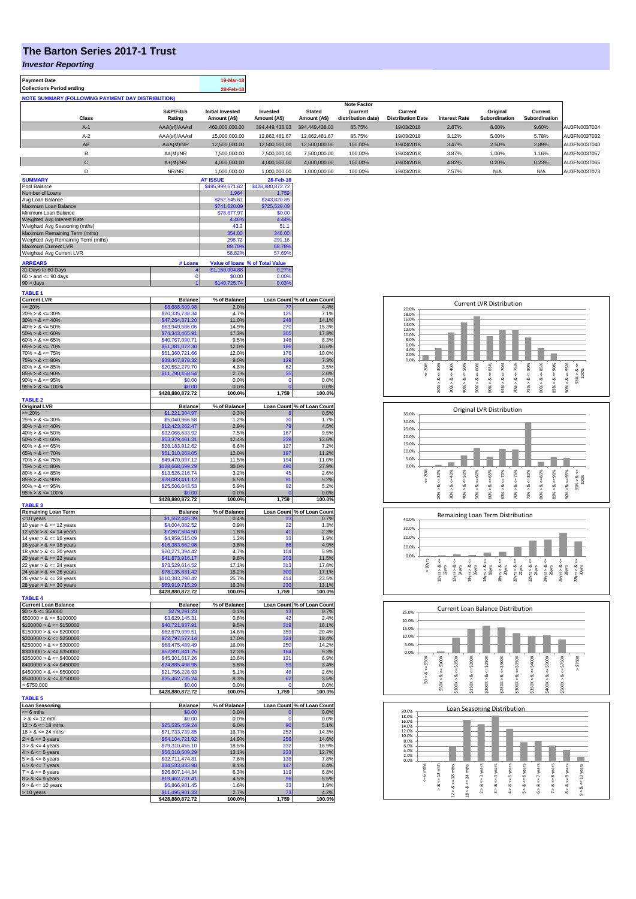## **The Barton Series 2017-1 Trust**

*Investor Reporting*

| <b>Payment Date</b>                                      |               | 19-Mar-18               |                |                |                    |                          |                      |               |               |              |
|----------------------------------------------------------|---------------|-------------------------|----------------|----------------|--------------------|--------------------------|----------------------|---------------|---------------|--------------|
| <b>Collections Period ending</b>                         |               | 28-Feb-18               |                |                |                    |                          |                      |               |               |              |
| <b>NOTE SUMMARY (FOLLOWING PAYMENT DAY DISTRIBUTION)</b> |               |                         |                |                |                    |                          |                      |               |               |              |
|                                                          |               |                         |                |                | <b>Note Factor</b> |                          |                      |               |               |              |
|                                                          | S&P/Fitch     | <b>Initial Invested</b> | Invested       | <b>Stated</b>  | <i>(current</i>    | Current                  |                      | Original      | Current       |              |
| Class                                                    | Rating        | Amount (A\$)            | Amount (A\$)   | Amount (A\$)   | distribution date) | <b>Distribution Date</b> | <b>Interest Rate</b> | Subordination | Subordination |              |
| $A-1$                                                    | AAA(sf)/AAAsf | 460,000,000.00          | 394.449.438.03 | 394,449,438,03 | 85.75%             | 19/03/2018               | 2.87%                | 8.00%         | 9.60%         | AU3FN0037024 |
| $A-2$                                                    | AAA(sf)/AAAsf | 15,000,000.00           | 12,862,481.67  | 12.862.481.67  | 85.75%             | 19/03/2018               | 3.12%                | 5.00%         | 5.78%         | AU3FN0037032 |
| AB                                                       | AAA(sf)/NR    | 12,500,000,00           | 12,500,000,00  | 12.500.000.00  | 100.00%            | 19/03/2018               | 3.47%                | 2.50%         | 2.89%         | AU3FN0037040 |
| в                                                        | Aa(sf)/NR     | 7.500.000.00            | 7.500.000.00   | 7.500.000.00   | 100.00%            | 19/03/2018               | 3.87%                | 1.00%         | 1.16%         | AU3FN0037057 |
| $\mathsf{C}$                                             | $A+(sf)/NR$   | 4.000.000.00            | 4.000.000.00   | 4.000.000.00   | 100.00%            | 19/03/2018               | 4.82%                | 0.20%         | 0.23%         | AU3FN0037065 |
|                                                          | NR/NR         | 1.000.000.00            | 1.000.000.00   | 1.000.000.00   | 100.00%            | 19/03/2018               | 7.57%                | N/A           | N/A           | AU3FN0037073 |
|                                                          |               |                         |                |                |                    |                          |                      |               |               |              |

| <b>SUMMARY</b>                     |         | <b>AT ISSUE</b>  | 28-Feb-18                       |
|------------------------------------|---------|------------------|---------------------------------|
| Pool Balance                       |         | \$495,999,571.62 | \$428,880,872.72                |
| Number of Loans                    |         | 1.964            | 1.759                           |
| Avg Loan Balance                   |         | \$252,545.61     | \$243,820.85                    |
| Maximum Loan Balance               |         | \$741,620.09     | \$725,529.09                    |
| Minimum Loan Balance               |         | \$78,877.97      | \$0.00                          |
| Weighted Avg Interest Rate         |         | 4.46%            | 4.44%                           |
| Weighted Avg Seasoning (mths)      |         | 43.2             | 51.1                            |
| Maximum Remaining Term (mths)      |         | 354.00           | 346.00                          |
| Weighted Avg Remaining Term (mths) |         | 298.72           | 291.16                          |
| Maximum Current LVR                |         | 89.70%           | 88.78%                          |
| Weighted Avg Current LVR           |         | 58.82%           | 57.69%                          |
| <b>ARREARS</b>                     | # Loans |                  | Value of loans % of Total Value |
| 31 Days to 60 Days                 |         | \$1,150,994.88   | 0.27%                           |
| $60 >$ and $\leq 90$ days          |         | \$0.00           | 0.00%                           |
| $90 >$ days                        |         | \$140,725,74     | 0.03%                           |

| <b>TABLE 1</b>                                         |                                     |                |                   |                            |
|--------------------------------------------------------|-------------------------------------|----------------|-------------------|----------------------------|
| <b>Current LVR</b>                                     | <b>Balance</b>                      | % of Balance   |                   | Loan Count % of Loan Count |
| $= 20%$                                                | \$8,688,509.98                      | 2.0%           | 77                | 4.4%                       |
| $20\% > 8 \le 30\%$                                    | \$20,335,738.34<br>\$47,264,371.20  | 4.7%<br>11.0%  | 125<br>248        | 7.1%<br>14.1%              |
| $30\% > 8 \le 40\%$<br>$40\% > 8 \le 50\%$             | \$63,949,586.06                     | 14.9%          | 27 <sub>0</sub>   | 15.3%                      |
| $50\% > 8 \le 60\%$                                    | \$74,343,465.91                     | 17.3%          | 305               | 17.3%                      |
| $60\% > 8 \le 65\%$                                    | \$40,767,090.71                     | 9.5%           | 146               | 8.3%                       |
| $65\% > 8 \le 70\%$                                    | \$51,381,072.30                     | 12.0%          | 186               | 10.6%                      |
| $70\% > 8 \le 75\%$                                    | \$51,360,721.66                     | 12.0%          | 176               | 10.0%                      |
| $75\% > 8 \le 80\%$                                    | \$38,447,878.32                     | 9.0%           | 129               | 7.3%                       |
| $80\% > 8 \le 85\%$                                    | \$20,552,279.70                     | 4.8%           | 62                | 3.5%                       |
| $85\% > 8 \le 90\%$                                    | \$11,790,158.54                     | 2.7%           | 35                | 2.0%                       |
| $90\% > 8 \le 95\%$                                    | \$0.00                              | 0.0%           | n                 | 0.0%                       |
| $95\% > 8 \le 100\%$                                   | \$0.00<br>\$428,880,872.72          | 0.0%<br>100.0% | $\Omega$<br>1,759 | 0.0%<br>100.0%             |
| <b>TABLE 2</b>                                         |                                     |                |                   |                            |
| <b>Original LVR</b>                                    | <b>Balance</b>                      | % of Balance   |                   | Loan Count % of Loan Count |
| $= 20%$                                                | \$1,221,304.97                      | 0.3%           |                   | 0.5%                       |
| $25\% > 8 \le 30\%$                                    | \$5,040,966.58                      | 1.2%           | 30                | 1.7%                       |
| $30\% > 8 \le 40\%$                                    | \$12,423,262.47                     | 2.9%           | 79                | 4.5%                       |
| $40\% > 8 \le 50\%$                                    | \$32,066,633.92                     | 7.5%           | 167               | 9.5%                       |
| $50\% > 8 \le 60\%$                                    | \$53,379,461.31                     | 12.4%          | 239               | 13.6%                      |
| $60\% > 8 \le 65\%$                                    | \$28,183,912.62                     | 6.6%           | 127               | 7.2%                       |
| $65\% > 8 \le 70\%$                                    | \$51,310,263.05                     | 12.0%<br>11.5% | 197<br>194        | 11.2%<br>11.0%             |
| $70\% > 8 \le 75\%$<br>$75\% > 8 \le 80\%$             | \$49,470,097.12<br>\$128,668,699.29 | 30.0%          | 490               | 27.9%                      |
| $80\% > 8 \le 85\%$                                    | \$13,526,216.74                     | 3.2%           | 45                | 2.6%                       |
| $85\% > 8 \le 90\%$                                    | \$28,083,411.12                     | 6.5%           | 91                | 5.2%                       |
| $90\% > 8 \le 95\%$                                    | \$25,506,643.53                     | 5.9%           | 92                | 5.2%                       |
| $95\% > 8 \le 100\%$                                   | \$0.00                              | 0.0%           | $\overline{0}$    | 0.0%                       |
|                                                        | \$428,880,872.72                    | 100.0%         | 1,759             | 100.0%                     |
| <b>TABLE 3</b><br><b>Remaining Loan Term</b>           | <b>Balance</b>                      | % of Balance   |                   | Loan Count % of Loan Count |
| < 10 years                                             | \$1,552,445.39                      | 0.4%           | 13                | 0.7%                       |
| 10 year $> 8 \le 12$ years                             | \$4,004,082,52                      | 0.9%           | 22                | 1.3%                       |
| 12 year $> 8 \le 14$ years                             | \$7,867,504.50                      | 1.8%           | 41                | 2.3%                       |
| 14 year $> 8 \le 16$ years                             | \$4,959,515.09                      | 1.2%           | 33                | 1.9%                       |
| 16 year $> 8 \le 18$ years                             | \$16,383,562.98                     | 3.8%           | 86                | 4.9%                       |
| 18 year $> 8 \le 20$ years                             | \$20,271,394.42                     | 4.7%           | 104               | 5.9%                       |
| 20 year $> 8 \le 22$ years                             | \$41,873,916.17                     | 9.8%           | 203               | 11.5%                      |
| 22 year $> 8 \le 24$ years                             | \$73,529,614.52                     | 17.1%          | 313               | 17.8%                      |
| 24 year $> 8 \le 26$ years                             | \$78,135,831.42                     | 18.2%          | 300               | 17.1%                      |
| 26 year $> 8 \le 28$ years                             | \$110,383,290.42<br>69.919.715.29   | 25.7%<br>16.3% | 414<br>230        | 23.5%                      |
| 28 year $> 8 \le 30$ years                             | \$428,880,872.72                    | 100.0%         | 1,759             | 13.1%<br>100.0%            |
| <b>TABLE 4</b>                                         |                                     |                |                   |                            |
| <b>Current Loan Balance</b>                            | <b>Balance</b>                      | % of Balance   |                   | Loan Count % of Loan Count |
| $$0 > 8 \le $50000$                                    | \$279,291.23                        | 0.1%           | 13                | 0.7%                       |
| $$50000 > 8 \le $100000$                               | \$3,629,145.31                      | 0.8%           | 42                | 2.4%                       |
| $$100000 > 8 \le $150000$                              | \$40,721,837.91                     | 9.5%           | 319               | 18.1%                      |
| $$150000 > 8 \le $200000$<br>$$200000 > 8 \le $250000$ | \$62,679,699.51                     | 14.6%<br>17.0% | 359<br>324        | 20.4%<br>18.4%             |
| $$250000 > 8 \leq $300000$                             | \$72,797,577.14<br>\$68,475,489.49  | 16.0%          | 250               | 14.2%                      |
| $$300000 > 8 \leq $350000$                             | 52,891,841.75                       | 12.3%          | 164               | 9.3%                       |
| $$350000 > 8 \le $400000$                              | \$45,301,617.26                     | 10.6%          | 121               | 6.9%                       |
| $$400000 > 8 \le $450000$                              | \$24,885,408.95                     | 5.8%           | 59                | 3.4%                       |
| $$450000 > 8 \le $500000$                              | \$21,756,228.93                     | 5.1%           | 46                | 2.6%                       |
| $$500000 > 8 \le $750000$                              | \$35,462,735.24                     | 8.3%           | 62                | 3.5%                       |
| > \$750,000                                            | \$0.00                              | 0.0%           | r                 | 0.0%                       |
|                                                        | \$428,880,872.72                    | 100.0%         | 1,759             | 100.0%                     |
| <b>TABLE 5</b><br><b>Loan Seasoning</b>                | <b>Balance</b>                      | % of Balance   |                   | Loan Count % of Loan Count |
| $= 6$ mths                                             | \$0.00                              | 0.0%           | 0                 | 0.0%                       |
| $> 8 \le 12$ mth                                       | \$0.00                              | 0.0%           | Ō                 | 0.0%                       |
| $12 > 8 \le 18$ mths                                   | \$25,535,459.24                     | 6.0%           | 90                | 5.1%                       |
| $18 > 8 \le 24$ mths                                   | \$71,733,739.85                     | 16.7%          | 252               | 14.3%                      |
| $2 > 8 \le 3$ years                                    | \$64,104,721.92                     | 14.9%          | 256               | 14.6%                      |
| $3 > 8 \leq 4$ years                                   | \$79,310,455.10                     | 18.5%          | 332               | 18.9%                      |
| $4 > 8 \le 5$ years                                    | \$56,318,509.29                     | 13.1%          | 223               | 12.7%                      |
| $5 > 8 \le 6$ years                                    | \$32,711,474.81                     | 7.6%           | 138               | 7.8%                       |
| $6 > 8 \le 7$ years                                    | \$34,533,833.98                     | 8.1%           | 147               | 8.4%                       |
| $7 > 8 \le 8$ years                                    | \$26,807,144.34                     | 6.3%           | 119               | 6.8%                       |
| $8 > 8 \le 9$ years                                    | \$19,462,731.41                     | 4.5%           | 96                | 5.5%                       |
| $9 > 8 \le 10$ years                                   | \$6,866,901.45                      | 1.6%           | 33<br>73          | 1.9%<br>4.2%               |
| > 10 years                                             | \$11,495,901.33                     | 2.7%           |                   |                            |
|                                                        | \$428,880,872.72                    | 100.0%         | 1,759             | 100.0%                     |

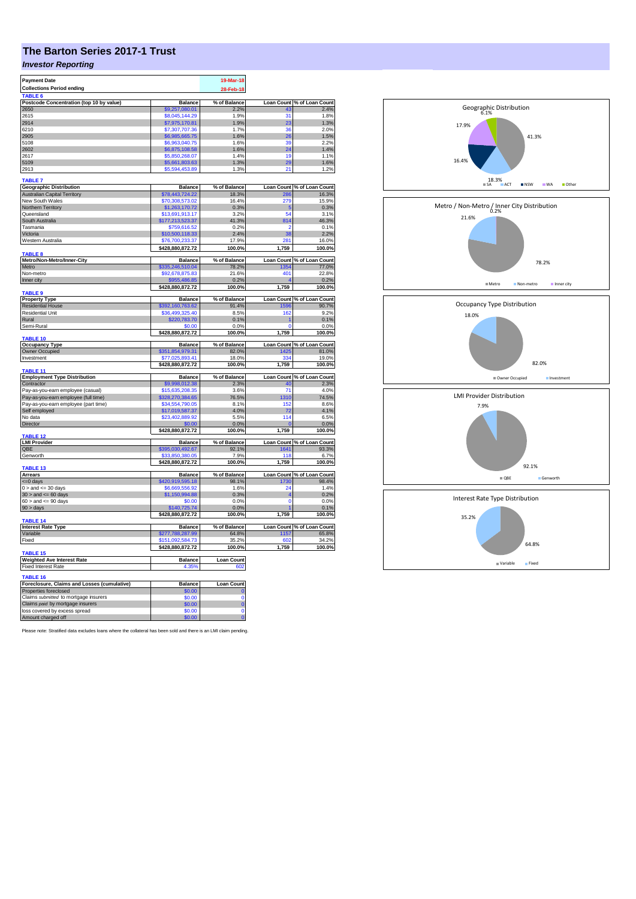## **The Barton Series 2017-1 Trust**

## *Investor Reporting*

| <b>Payment Date</b>                           |                                     | 19-Mar-18             |                |                                     |
|-----------------------------------------------|-------------------------------------|-----------------------|----------------|-------------------------------------|
| <b>Collections Period ending</b>              |                                     | 28-Feb-18             |                |                                     |
| TABLE <sub>6</sub>                            |                                     |                       |                |                                     |
| Postcode Concentration (top 10 by value)      | <b>Balance</b>                      | % of Balance          |                | Loan Count % of Loan Count          |
| 2650                                          | \$9,257,080.01                      | 2.2%                  | 43             | 2.4%                                |
| 2615                                          | \$8,045,144.29                      | 1.9%                  | 31             | 1.8%                                |
| 2914                                          | \$7,975,170.81                      | 1.9%                  | 23             | 1.3%                                |
| 6210                                          | \$7,307,707.36                      | 1.7%                  | 36             | 2.0%                                |
| 2905                                          | \$6,985,665.75                      | 1.6%                  | 26             | 1.5%                                |
| 5108                                          | \$6,963,040.75                      | 1.6%                  | 39             | 2.2%                                |
| 2602                                          | \$6,875,108.58                      | 1.6%                  | 24             | 1.4%                                |
| 2617                                          | \$5,850,268.07                      | 1.4%                  | 19             | 1.1%                                |
| 5109                                          | \$5,661,803.63                      | 1.3%                  | 29             | 1.6%                                |
| 2913                                          | \$5,594,453.89                      | 1.3%                  | 21             | 1.2%                                |
| <b>TABLE 7</b>                                |                                     |                       |                |                                     |
| <b>Geographic Distribution</b>                | <b>Balance</b>                      | % of Balance          |                | Loan Count % of Loan Count          |
| <b>Australian Capital Territory</b>           | \$78,443,724.22                     | 18.3%                 | 286            | 16.3%                               |
| New South Wales                               | \$70,308,573.02                     | 16.4%                 | 279            | 15.9%                               |
| Northern Territory                            | \$1,263,170.72                      | 0.3%                  | -5             | 0.3%                                |
| Queensland                                    | \$13,691,913,17                     | 3.2%                  | 54             | 3.1%                                |
| South Australia                               | \$177,213,523.37                    | 41.3%                 | 814            | 46.3%                               |
| Tasmania                                      | \$759,616.52                        | 0.2%                  | ٥              | 0.1%                                |
| Victoria                                      | \$10,500,118.33                     | 2.4%                  | 38             | 2.2%                                |
| Western Australia                             | \$76,700,233.37                     | 17.9%                 | 281            | 16.0%                               |
|                                               | \$428,880,872.72                    | 100.0%                | 1,759          | 100.0%                              |
| <b>TABLE 8</b>                                |                                     |                       |                |                                     |
| Metro/Non-Metro/Inner-City<br>Metro           | <b>Balance</b><br>\$335.246.510.04  | % of Balance<br>78.2% | 1354           | Loan Count % of Loan Count<br>77.0% |
| Non-metro                                     | \$92,678,875.83                     | 21.6%                 | 401            | 22.8%                               |
| Inner city                                    | \$955,486.85                        | 0.2%                  |                | 0.2%                                |
|                                               | \$428,880,872.72                    | 100.0%                | 1,759          | 100.0%                              |
| TABLE 9                                       |                                     |                       |                |                                     |
| <b>Property Type</b>                          | <b>Balance</b>                      | % of Balance          |                | Loan Count % of Loan Count          |
| <b>Residential House</b>                      | \$392,160,763.62                    | 91.4%                 | 159            | 90.7%                               |
| <b>Residential Unit</b>                       | \$36,499,325.40                     | 8.5%                  | 162            | 9.2%                                |
| Rural                                         | \$220,783.70                        | 0.1%                  |                | 0.1%                                |
| Semi-Rural                                    | \$0.00                              | 0.0%                  | O              | 0.0%                                |
|                                               | \$428,880,872.72                    | 100.0%                | 1,759          | 100.0%                              |
| <b>TABLE 10</b>                               |                                     |                       |                |                                     |
| <b>Occupancy Type</b>                         | <b>Balance</b>                      | % of Balance          |                | Loan Count % of Loan Count          |
| Owner Occupied<br>Investment                  | \$351,854,979.31<br>\$77,025,893.41 | 82.0%<br>18.0%        | 1425<br>334    | 81.0%<br>19.0%                      |
|                                               | \$428,880,872.72                    | 100.0%                | 1,759          | 100.0%                              |
| TABLE 11                                      |                                     |                       |                |                                     |
| <b>Employment Type Distribution</b>           | <b>Balance</b>                      | % of Balance          |                | Loan Count % of Loan Count          |
| Contractor                                    | \$9,998,012.38                      | 2.3%                  | 40             | 2.3%                                |
| Pay-as-you-earn employee (casual)             | \$15,635,208.35                     | 3.6%                  | 71             | 4.0%                                |
| Pay-as-you-earn employee (full time)          | \$328,270,384.65                    | 76.5%                 | 1310           | 74.5%                               |
| Pay-as-you-earn employee (part time)          | \$34,554,790.05                     | 8.1%                  | 152            | 8.6%                                |
| Self employed                                 | \$17,019,587.37                     | 4.0%                  | 72             | 4.1%                                |
| No data                                       | \$23,402,889.92                     | 5.5%                  | 114            | 6.5%                                |
| Director                                      | \$0.00                              | 0.0%                  |                | 0.0%                                |
|                                               | \$428,880,872.72                    | 100.0%                | 1,759          | 100.0%                              |
| TARI F 12                                     |                                     |                       |                |                                     |
| <b>LMI Provider</b><br>QBE                    | <b>Balance</b>                      | % of Balance          |                | Loan Count % of Loan Count<br>93.3% |
| Genworth                                      | \$395,030,492.67<br>33,850,380.05   | 92.1%<br>7.9%         | 1641<br>118    | 6.7%                                |
|                                               | \$428,880,872.72                    | 100.0%                | 1,759          | 100.0%                              |
| <b>TABLE 13</b>                               |                                     |                       |                |                                     |
| <b>Arrears</b>                                | <b>Balance</b>                      | % of Balance          |                | Loan Count % of Loan Count          |
| <= 0 days                                     | \$420,919,595.18                    | 98.1%                 | 1730           | 98.4%                               |
| $0 >$ and $\leq$ 30 days                      | \$6,669,556.92                      | 1.6%                  | 24             | 1.4%                                |
| $30$ > and <= 60 days                         | \$1,150,994.88                      | 0.3%                  | Δ              | 0.2%                                |
| $60 >$ and $\leq 90$ days                     | \$0.00                              | 0.0%                  | $\overline{0}$ | 0.0%                                |
| 90 > days                                     | \$140,725.74                        | 0.0%                  |                | 0.1%                                |
|                                               | \$428,880,872.72                    | 100.0%                | 1,759          | 100.0%                              |
| TABLE 14                                      |                                     |                       |                |                                     |
| <b>Interest Rate Type</b>                     | <b>Balance</b>                      | % of Balance          |                | Loan Count % of Loan Count          |
| Variable                                      | \$277,788,287.99                    | 64.8%                 | 1157           | 65.8%                               |
| Fixed                                         | \$151,092,584.73                    | 35.2%                 | 602            | 34.2%                               |
|                                               | \$428,880,872.72                    | 100.0%                | 1,759          | 100.0%                              |
| TABLE 15<br><b>Weighted Ave Interest Rate</b> | <b>Balance</b>                      | <b>Loan Count</b>     |                |                                     |
| <b>Fixed Interest Rate</b>                    | 4.35%                               | 602                   |                |                                     |
|                                               |                                     |                       |                |                                     |
| <b>TABLE 16</b>                               |                                     |                       |                |                                     |
| Foreclosure, Claims and Losses (cumulative)   | <b>Balance</b>                      | Loan Count            |                |                                     |
| Properties foreclosed                         | \$0.00                              |                       |                |                                     |
| Claims submitted to mortgage insurers         | \$0.00                              | Ō                     |                |                                     |
| Claims paid by mortgage insurers              | \$0.00                              | Ō                     |                |                                     |
| loss covered by excess spread                 | \$0.00                              | Ō                     |                |                                     |
| Amount charged off                            | \$0.00                              | ö                     |                |                                     |